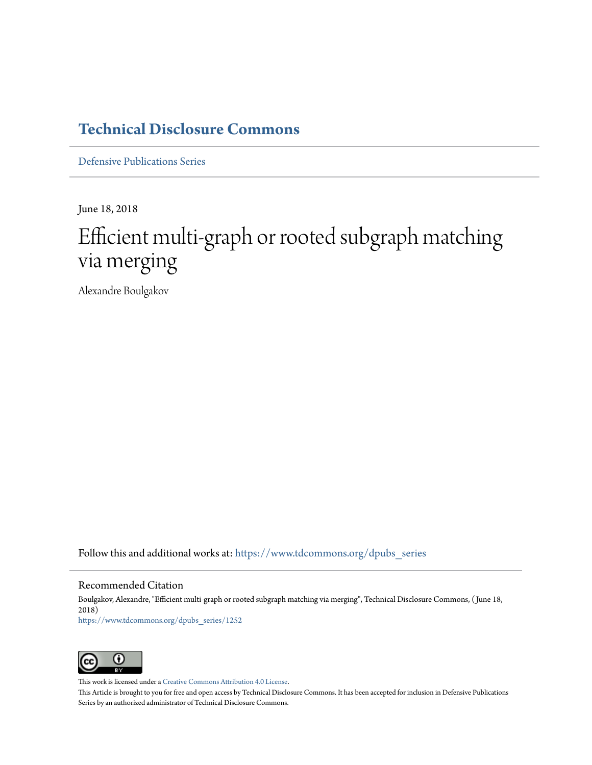# **[Technical Disclosure Commons](https://www.tdcommons.org?utm_source=www.tdcommons.org%2Fdpubs_series%2F1252&utm_medium=PDF&utm_campaign=PDFCoverPages)**

[Defensive Publications Series](https://www.tdcommons.org/dpubs_series?utm_source=www.tdcommons.org%2Fdpubs_series%2F1252&utm_medium=PDF&utm_campaign=PDFCoverPages)

June 18, 2018

# Efficient multi-graph or rooted subgraph matching via merging

Alexandre Boulgakov

Follow this and additional works at: [https://www.tdcommons.org/dpubs\\_series](https://www.tdcommons.org/dpubs_series?utm_source=www.tdcommons.org%2Fdpubs_series%2F1252&utm_medium=PDF&utm_campaign=PDFCoverPages)

#### Recommended Citation

Boulgakov, Alexandre, "Efficient multi-graph or rooted subgraph matching via merging", Technical Disclosure Commons, ( June 18, 2018) [https://www.tdcommons.org/dpubs\\_series/1252](https://www.tdcommons.org/dpubs_series/1252?utm_source=www.tdcommons.org%2Fdpubs_series%2F1252&utm_medium=PDF&utm_campaign=PDFCoverPages)



This work is licensed under a [Creative Commons Attribution 4.0 License.](http://creativecommons.org/licenses/by/4.0/deed.en_US)

This Article is brought to you for free and open access by Technical Disclosure Commons. It has been accepted for inclusion in Defensive Publications Series by an authorized administrator of Technical Disclosure Commons.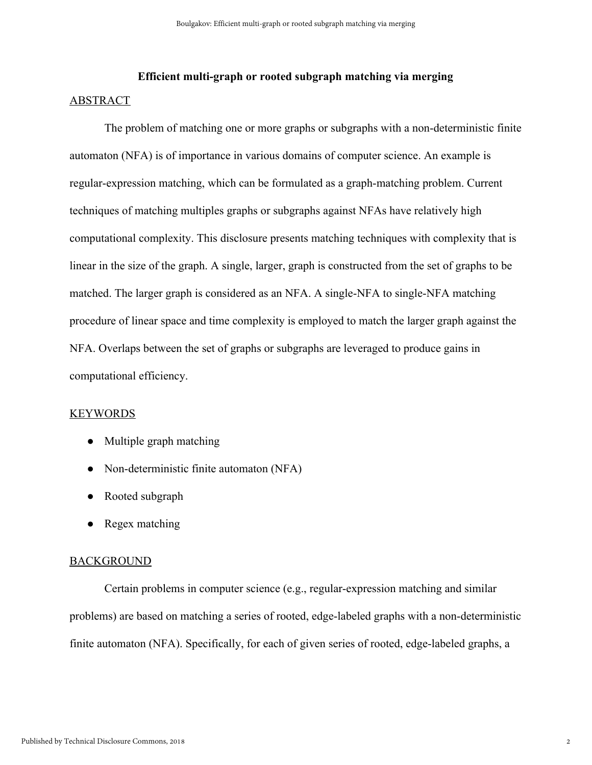# **Efficient multi-graph or rooted subgraph matching via merging**  ABSTRACT

The problem of matching one or more graphs or subgraphs with a non-deterministic finite automaton (NFA) is of importance in various domains of computer science. An example is regular-expression matching, which can be formulated as a graph-matching problem. Current techniques of matching multiples graphs or subgraphs against NFAs have relatively high computational complexity. This disclosure presents matching techniques with complexity that is linear in the size of the graph. A single, larger, graph is constructed from the set of graphs to be matched. The larger graph is considered as an NFA. A single-NFA to single-NFA matching procedure of linear space and time complexity is employed to match the larger graph against the NFA. Overlaps between the set of graphs or subgraphs are leveraged to produce gains in computational efficiency.

#### KEYWORDS

- Multiple graph matching
- Non-deterministic finite automaton (NFA)
- Rooted subgraph
- Regex matching

## **BACKGROUND**

Certain problems in computer science (e.g., regular-expression matching and similar problems) are based on matching a series of rooted, edge-labeled graphs with a non-deterministic finite automaton (NFA). Specifically, for each of given series of rooted, edge-labeled graphs, a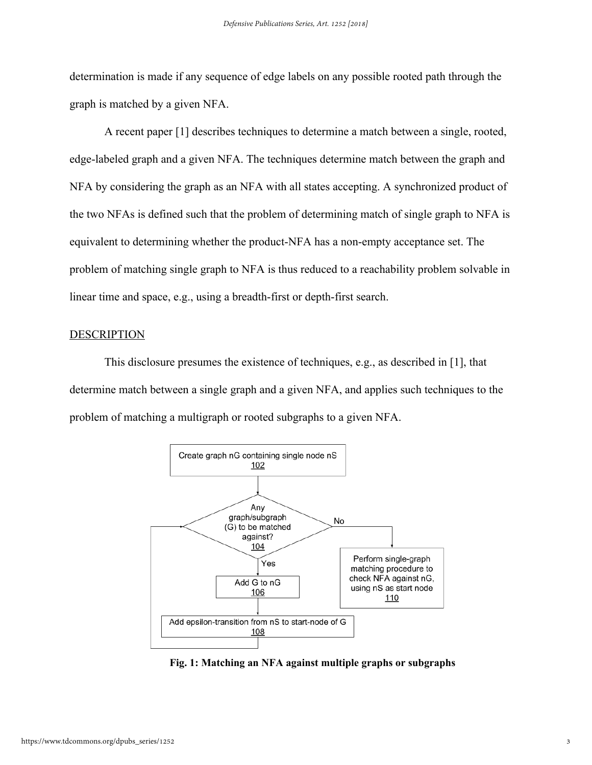determination is made if any sequence of edge labels on any possible rooted path through the graph is matched by a given NFA.

A recent paper [1] describes techniques to determine a match between a single, rooted, edge-labeled graph and a given NFA. The techniques determine match between the graph and NFA by considering the graph as an NFA with all states accepting. A synchronized product of the two NFAs is defined such that the problem of determining match of single graph to NFA is equivalent to determining whether the product-NFA has a non-empty acceptance set. The problem of matching single graph to NFA is thus reduced to a reachability problem solvable in linear time and space, e.g., using a breadth-first or depth-first search.

### **DESCRIPTION**

This disclosure presumes the existence of techniques, e.g., as described in [1], that determine match between a single graph and a given NFA, and applies such techniques to the problem of matching a multigraph or rooted subgraphs to a given NFA.



**Fig. 1: Matching an NFA against multiple graphs or subgraphs**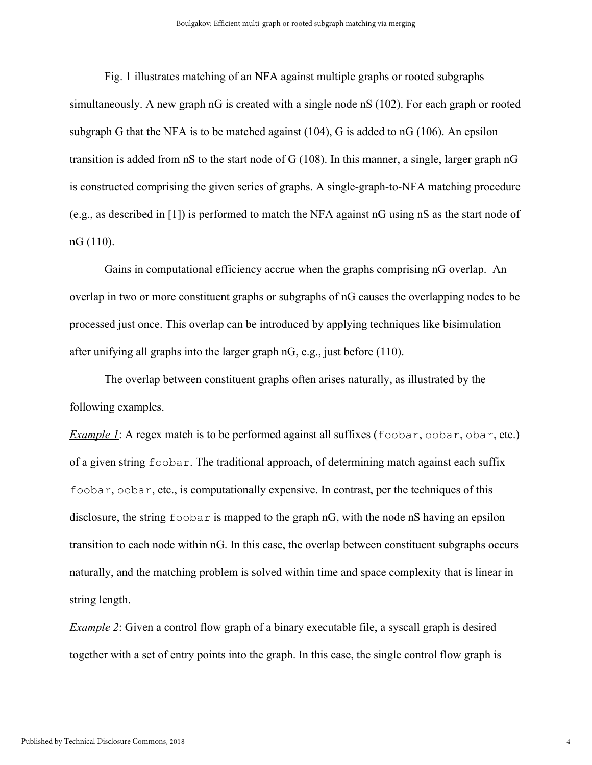Fig. 1 illustrates matching of an NFA against multiple graphs or rooted subgraphs simultaneously. A new graph nG is created with a single node nS (102). For each graph or rooted subgraph G that the NFA is to be matched against (104), G is added to nG (106). An epsilon transition is added from nS to the start node of G (108). In this manner, a single, larger graph nG is constructed comprising the given series of graphs. A single-graph-to-NFA matching procedure (e.g., as described in [1]) is performed to match the NFA against nG using nS as the start node of nG (110).

Gains in computational efficiency accrue when the graphs comprising nG overlap. An overlap in two or more constituent graphs or subgraphs of nG causes the overlapping nodes to be processed just once. This overlap can be introduced by applying techniques like bisimulation after unifying all graphs into the larger graph nG, e.g., just before (110).

The overlap between constituent graphs often arises naturally, as illustrated by the following examples.

*Example 1*: A regex match is to be performed against all suffixes (foobar, oobar, obar, etc.) of a given string foobar. The traditional approach, of determining match against each suffix foobar, oobar, etc., is computationally expensive. In contrast, per the techniques of this disclosure, the string foobar is mapped to the graph nG, with the node nS having an epsilon transition to each node within nG. In this case, the overlap between constituent subgraphs occurs naturally, and the matching problem is solved within time and space complexity that is linear in string length.

*Example 2*: Given a control flow graph of a binary executable file, a syscall graph is desired together with a set of entry points into the graph. In this case, the single control flow graph is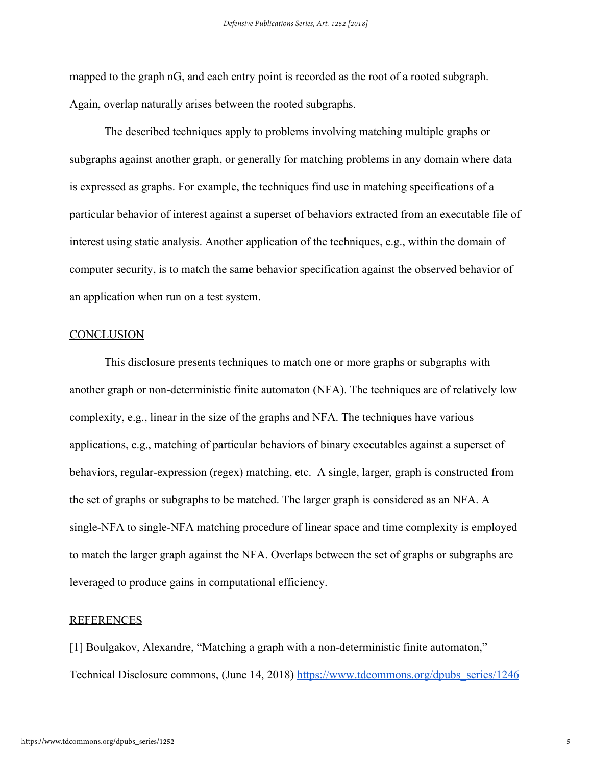mapped to the graph nG, and each entry point is recorded as the root of a rooted subgraph. Again, overlap naturally arises between the rooted subgraphs.

The described techniques apply to problems involving matching multiple graphs or subgraphs against another graph, or generally for matching problems in any domain where data is expressed as graphs. For example, the techniques find use in matching specifications of a particular behavior of interest against a superset of behaviors extracted from an executable file of interest using static analysis. Another application of the techniques, e.g., within the domain of computer security, is to match the same behavior specification against the observed behavior of an application when run on a test system.

### **CONCLUSION**

This disclosure presents techniques to match one or more graphs or subgraphs with another graph or non-deterministic finite automaton (NFA). The techniques are of relatively low complexity, e.g., linear in the size of the graphs and NFA. The techniques have various applications, e.g., matching of particular behaviors of binary executables against a superset of behaviors, regular-expression (regex) matching, etc. A single, larger, graph is constructed from the set of graphs or subgraphs to be matched. The larger graph is considered as an NFA. A single-NFA to single-NFA matching procedure of linear space and time complexity is employed to match the larger graph against the NFA. Overlaps between the set of graphs or subgraphs are leveraged to produce gains in computational efficiency.

#### REFERENCES

[1] Boulgakov, Alexandre, "Matching a graph with a non-deterministic finite automaton," Technical Disclosure commons, (June 14, 2018) [https://www.tdcommons.org/dpubs\\_series/1246](https://www.tdcommons.org/dpubs_series/1246/)